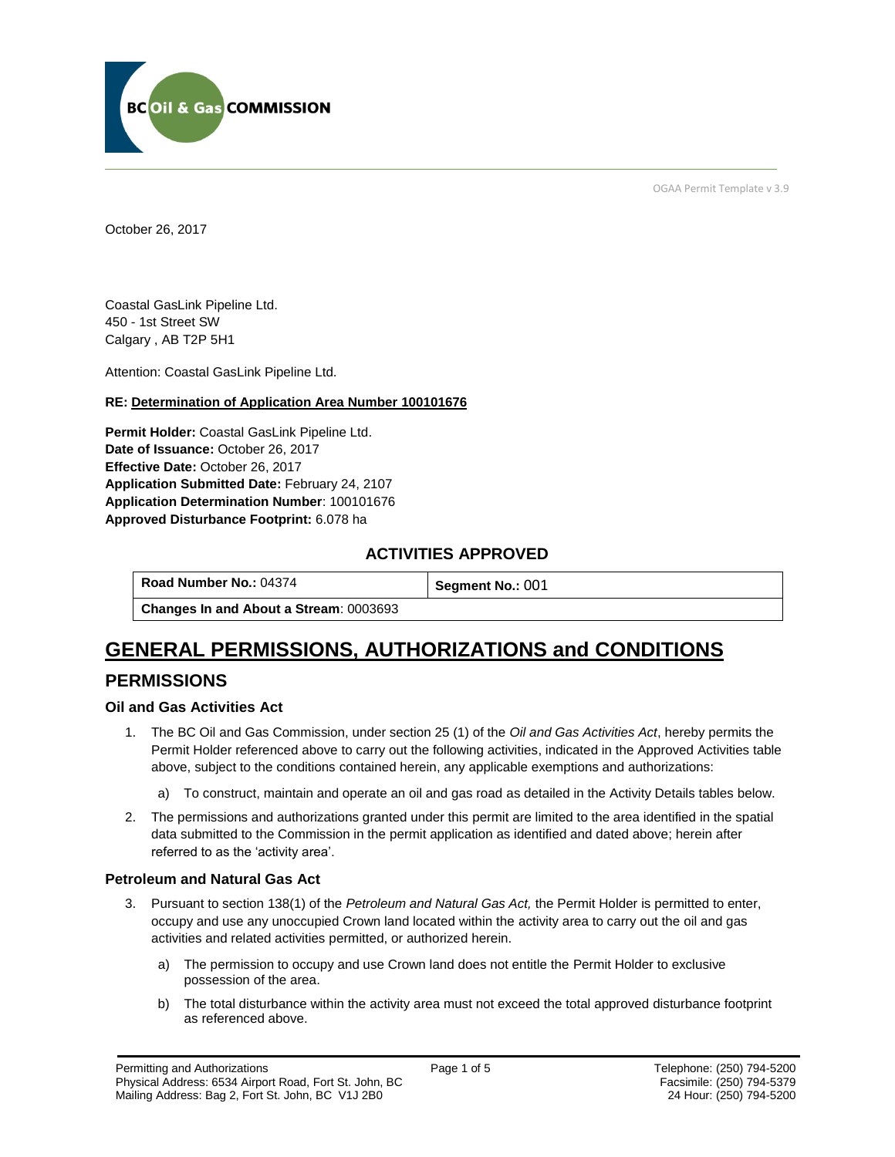

OGAA Permit Template v 3.9

October 26, 2017

Coastal GasLink Pipeline Ltd. 450 - 1st Street SW Calgary , AB T2P 5H1

[Attention:](#page-0-0) Coastal GasLink Pipeline Ltd.

#### **RE: Determination of Application Area Number 100101676**

**[Permit Holder:](#page-0-0)** Coastal GasLink Pipeline Ltd. **[Date of Issuance:](#page-0-0)** October 26, 2017 **[Effective Date:](#page-0-1)** October 26, 2017 **[Application Submitted Date:](#page-0-0)** February 24, 2107 **[Application Determination Number](#page-0-0)**: 100101676 **Approved Disturbance Footprint:** 6.078 ha

#### **ACTIVITIES APPROVED**

**[Road Number No.:](#page-0-0) 04374 [Segment No.:](https://bi.bcogc.ca/Application%20Processing/Interactive%20Reports/(BIL-041)%20AMS%20Decision%20Summary.aspx) 001** 

**[Changes In and About a Stream](#page-0-0)**: 0003693

# **GENERAL PERMISSIONS, AUTHORIZATIONS and CONDITIONS PERMISSIONS**

#### **Oil and Gas Activities Act**

- <span id="page-0-0"></span>1. The BC Oil and Gas Commission, under section 25 (1) of the *Oil and Gas Activities Act*, hereby permits the Permit Holder referenced above to carry out the following activities, indicated in the Approved Activities table above, subject to the conditions contained herein, any applicable exemptions and authorizations:
	- a) To construct, maintain and operate an oil and gas road as detailed in the Activity Details tables below.
- <span id="page-0-1"></span>2. The permissions and authorizations granted under this permit are limited to the area identified in the spatial data submitted to the Commission in the permit application as identified and dated above; herein after referred to as the 'activity area'.

#### **Petroleum and Natural Gas Act**

- 3. Pursuant to section 138(1) of the *Petroleum and Natural Gas Act,* the Permit Holder is permitted to enter, occupy and use any unoccupied Crown land located within the activity area to carry out the oil and gas activities and related activities permitted, or authorized herein.
	- a) The permission to occupy and use Crown land does not entitle the Permit Holder to exclusive possession of the area.
	- b) The total disturbance within the activity area must not exceed the total approved disturbance footprint as referenced above.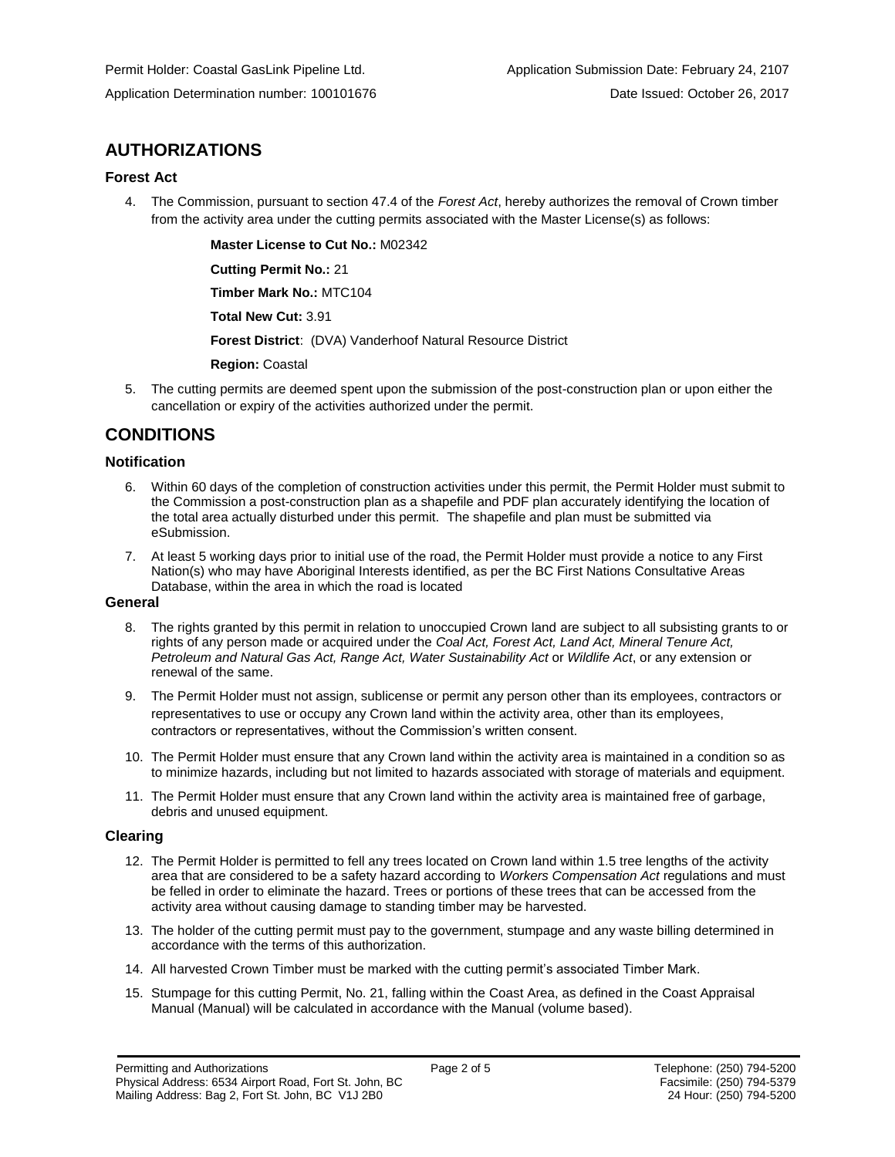### **AUTHORIZATIONS**

#### **Forest Act**

4. The Commission, pursuant to section 47.4 of the *Forest Act*, hereby authorizes the removal of Crown timber from the activity area under the cutting permits associated with the Master License(s) as follows:

**[Master License to Cut No.:](#page-0-0)** M02342

**[Cutting Permit No.:](#page-0-0)** 21

**[Timber Mark No.:](#page-0-0)** MTC104

**[Total New Cut:](#page-0-0)** 3.91

**[Forest District](https://ams-crd.bcogc.ca/crd/)**: (DVA) Vanderhoof Natural Resource District

**[Region:](#page-0-1)** Coastal

5. The cutting permits are deemed spent upon the submission of the post-construction plan or upon either the cancellation or expiry of the activities authorized under the permit.

### **CONDITIONS**

#### **Notification**

- 6. Within 60 days of the completion of construction activities under this permit, the Permit Holder must submit to the Commission a post-construction plan as a shapefile and PDF plan accurately identifying the location of the total area actually disturbed under this permit. The shapefile and plan must be submitted via eSubmission.
- 7. At least 5 working days prior to initial use of the road, the Permit Holder must provide a notice to any First Nation(s) who may have Aboriginal Interests identified, as per the BC First Nations Consultative Areas Database, within the area in which the road is located

#### **General**

- 8. The rights granted by this permit in relation to unoccupied Crown land are subject to all subsisting grants to or rights of any person made or acquired under the *Coal Act, Forest Act, Land Act, Mineral Tenure Act, Petroleum and Natural Gas Act, Range Act, Water Sustainability Act* or *Wildlife Act*, or any extension or renewal of the same.
- 9. The Permit Holder must not assign, sublicense or permit any person other than its employees, contractors or representatives to use or occupy any Crown land within the activity area, other than its employees, contractors or representatives, without the Commission's written consent.
- 10. The Permit Holder must ensure that any Crown land within the activity area is maintained in a condition so as to minimize hazards, including but not limited to hazards associated with storage of materials and equipment.
- 11. The Permit Holder must ensure that any Crown land within the activity area is maintained free of garbage, debris and unused equipment.

#### **Clearing**

- 12. The Permit Holder is permitted to fell any trees located on Crown land within 1.5 tree lengths of the activity area that are considered to be a safety hazard according to *Workers Compensation Act* regulations and must be felled in order to eliminate the hazard. Trees or portions of these trees that can be accessed from the activity area without causing damage to standing timber may be harvested.
- 13. The holder of the cutting permit must pay to the government, stumpage and any waste billing determined in accordance with the terms of this authorization.
- 14. All harvested Crown Timber must be marked with the cutting permit's associated Timber Mark.
- 15. Stumpage for this cutting Permit, No. 21, falling within the Coast Area, as defined in the Coast Appraisal Manual (Manual) will be calculated in accordance with the Manual (volume based).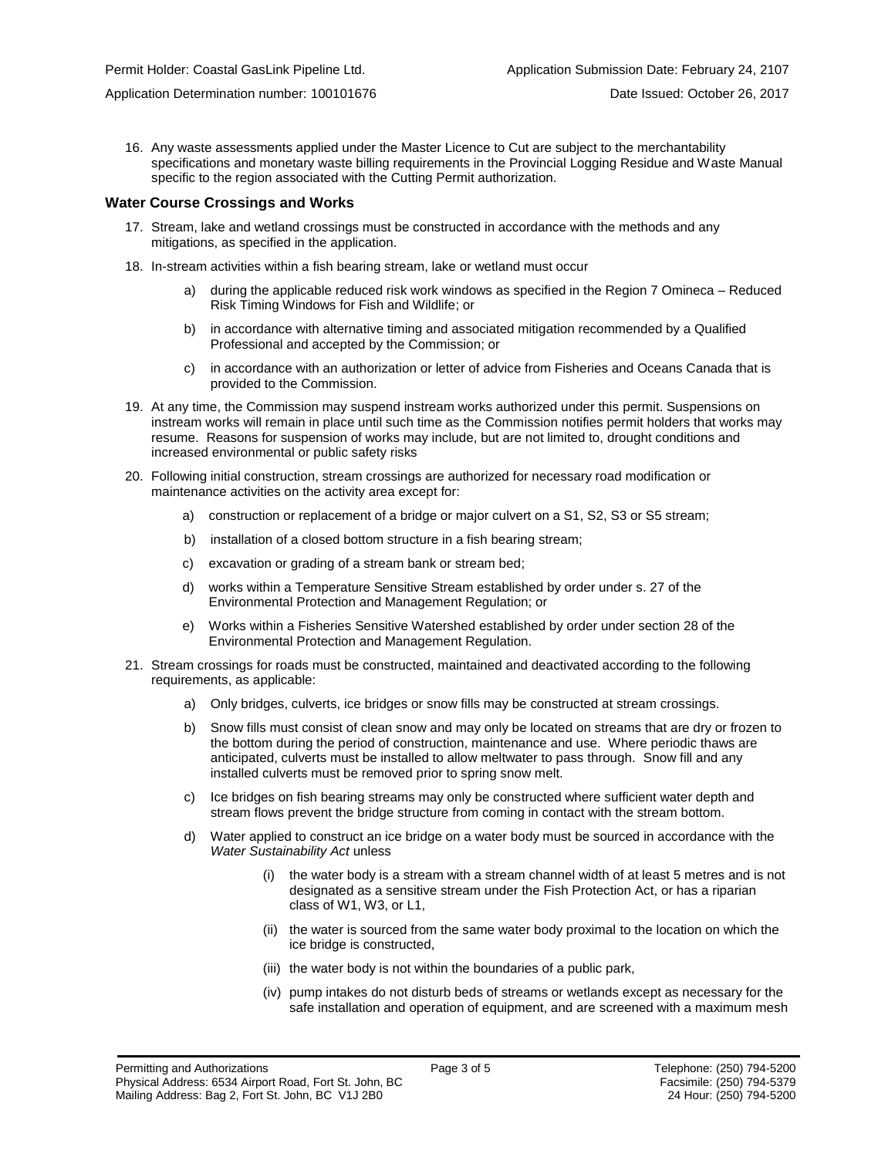Application Determination number: 100101676 Date Issued: October 26, 2017

16. Any waste assessments applied under the Master Licence to Cut are subject to the merchantability specifications and monetary waste billing requirements in the Provincial Logging Residue and Waste Manual specific to the region associated with the Cutting Permit authorization.

#### **Water Course Crossings and Works**

- 17. Stream, lake and wetland crossings must be constructed in accordance with the methods and any mitigations, as specified in the application.
- 18. In-stream activities within a fish bearing stream, lake or wetland must occur
	- a) [during the applicable reduced risk work windows as specified in the](#page-0-0) Region 7 Omineca Reduced Risk Timing Windows for Fish and Wildlife; or
	- b) in accordance with alternative timing and associated mitigation recommended by a Qualified Professional and accepted by the Commission; or
	- c) in accordance with an authorization or letter of advice from Fisheries and Oceans Canada that is provided to the Commission.
- 19. At any time, the Commission may suspend instream works authorized under this permit. Suspensions on instream works will remain in place until such time as the Commission notifies permit holders that works may resume. Reasons for suspension of works may include, but are not limited to, drought conditions and increased environmental or public safety risks
- 20. Following initial construction, stream crossings are authorized for necessary road modification or maintenance activities on the activity area except for:
	- a) construction or replacement of a bridge or major culvert on a S1, S2, S3 or S5 stream;
	- b) installation of a closed bottom structure in a fish bearing stream;
	- c) excavation or grading of a stream bank or stream bed;
	- d) works within a Temperature Sensitive Stream established by order under s. 27 of the Environmental Protection and Management Regulation; or
	- e) Works within a Fisheries Sensitive Watershed established by order under section 28 of the Environmental Protection and Management Regulation.
- 21. Stream crossings for roads must be constructed, maintained and deactivated according to the following requirements, as applicable:
	- a) Only bridges, culverts, ice bridges or snow fills may be constructed at stream crossings.
	- b) Snow fills must consist of clean snow and may only be located on streams that are dry or frozen to the bottom during the period of construction, maintenance and use. Where periodic thaws are anticipated, culverts must be installed to allow meltwater to pass through. Snow fill and any installed culverts must be removed prior to spring snow melt.
	- c) Ice bridges on fish bearing streams may only be constructed where sufficient water depth and stream flows prevent the bridge structure from coming in contact with the stream bottom.
	- d) Water applied to construct an ice bridge on a water body must be sourced in accordance with the *Water Sustainability Act* unless
		- (i) the water body is a stream with a stream channel width of at least 5 metres and is not designated as a sensitive stream under the Fish Protection Act, or has a riparian class of W1, W3, or L1,
		- (ii) the water is sourced from the same water body proximal to the location on which the ice bridge is constructed,
		- (iii) the water body is not within the boundaries of a public park,
		- (iv) pump intakes do not disturb beds of streams or wetlands except as necessary for the safe installation and operation of equipment, and are screened with a maximum mesh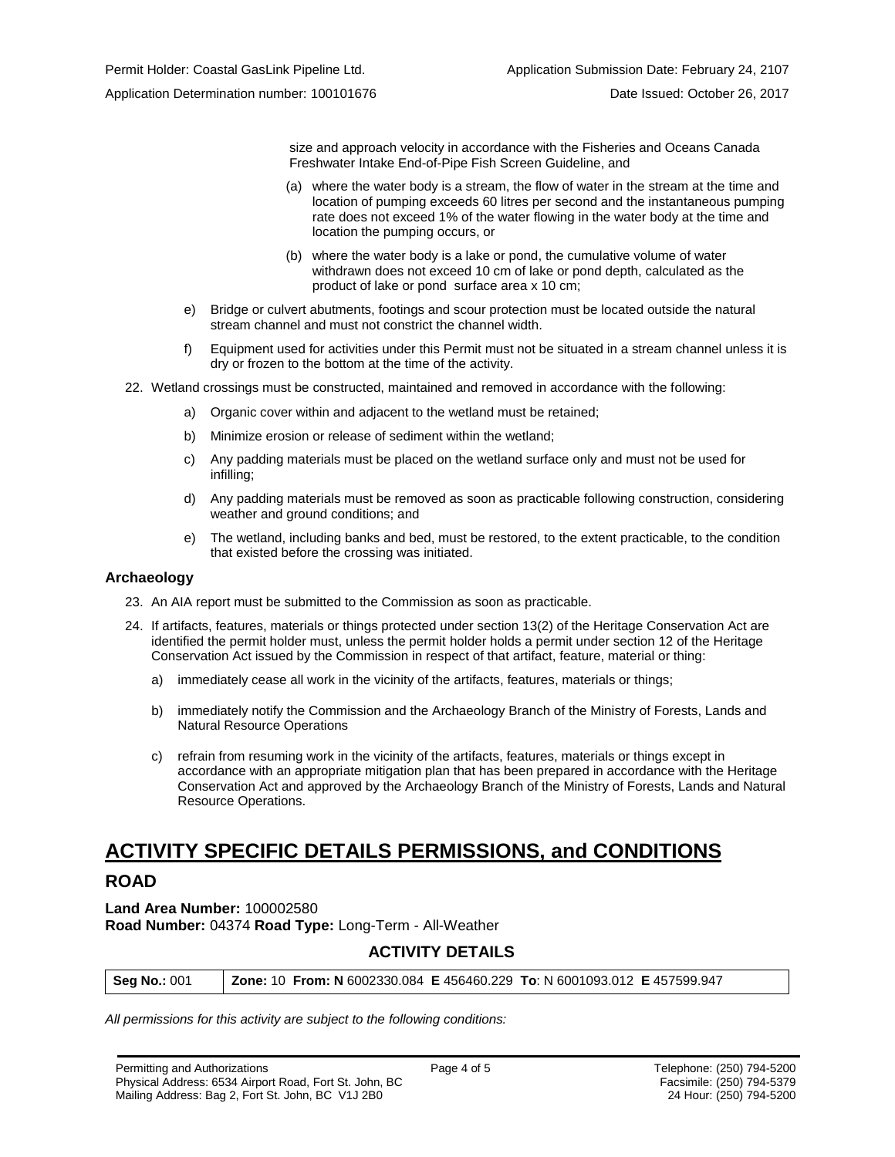size and approach velocity in accordance with the Fisheries and Oceans Canada Freshwater Intake End-of-Pipe Fish Screen Guideline, and

- (a) where the water body is a stream, the flow of water in the stream at the time and location of pumping exceeds 60 litres per second and the instantaneous pumping rate does not exceed 1% of the water flowing in the water body at the time and location the pumping occurs, or
- (b) where the water body is a lake or pond, the cumulative volume of water withdrawn does not exceed 10 cm of lake or pond depth, calculated as the product of lake or pond surface area x 10 cm;
- e) Bridge or culvert abutments, footings and scour protection must be located outside the natural stream channel and must not constrict the channel width.
- f) Equipment used for activities under this Permit must not be situated in a stream channel unless it is dry or frozen to the bottom at the time of the activity.
- 22. Wetland crossings must be constructed, maintained and removed in accordance with the following:
	- a) Organic cover within and adjacent to the wetland must be retained;
	- b) Minimize erosion or release of sediment within the wetland;
	- c) Any padding materials must be placed on the wetland surface only and must not be used for infilling;
	- d) Any padding materials must be removed as soon as practicable following construction, considering weather and ground conditions; and
	- e) The wetland, including banks and bed, must be restored, to the extent practicable, to the condition that existed before the crossing was initiated.

#### **Archaeology**

- 23. An AIA report must be submitted to the Commission as soon as practicable.
- 24. If artifacts, features, materials or things protected under section 13(2) of the Heritage Conservation Act are identified the permit holder must, unless the permit holder holds a permit under section 12 of the Heritage Conservation Act issued by the Commission in respect of that artifact, feature, material or thing:
	- a) immediately cease all work in the vicinity of the artifacts, features, materials or things;
	- b) immediately notify the Commission and the Archaeology Branch of the Ministry of Forests, Lands and Natural Resource Operations
	- c) refrain from resuming work in the vicinity of the artifacts, features, materials or things except in accordance with an appropriate mitigation plan that has been prepared in accordance with the Heritage Conservation Act and approved by the Archaeology Branch of the Ministry of Forests, Lands and Natural Resource Operations.

## **ACTIVITY SPECIFIC DETAILS PERMISSIONS, and CONDITIONS**

#### **ROAD**

**Land Area Number:** 100002580 **Road Number:** 04374 **Road Type:** Long-Term - All-Weather

#### **ACTIVITY DETAILS**

| <b>Seg No.: 001</b> | <b>Zone: 10 From: N</b> 6002330.084 E 456460.229 To: N 6001093.012 E 457599.947 |
|---------------------|---------------------------------------------------------------------------------|
|---------------------|---------------------------------------------------------------------------------|

*All permissions for this activity are subject to the following conditions:*